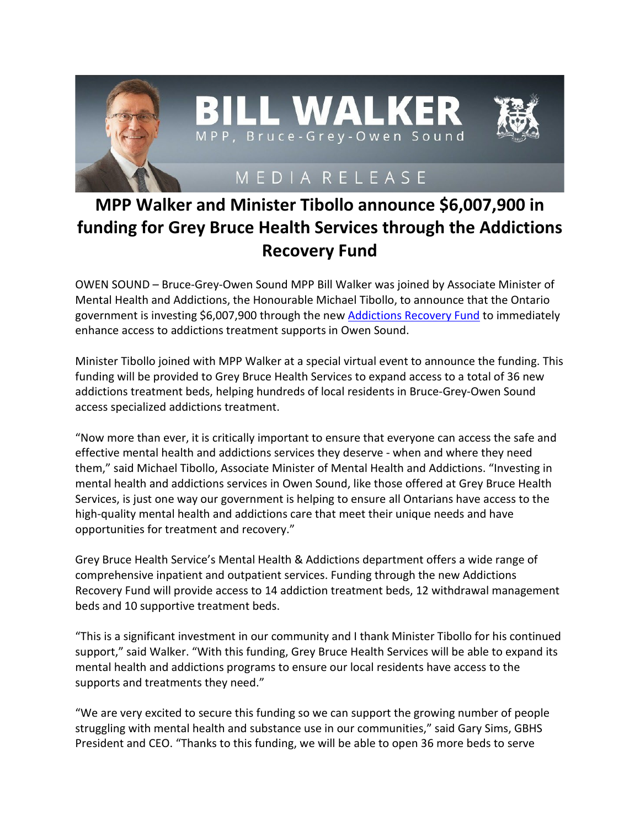

## **MPP Walker and Minister Tibollo announce \$6,007,900 in funding for Grey Bruce Health Services through the Addictions Recovery Fund**

OWEN SOUND – Bruce-Grey-Owen Sound MPP Bill Walker was joined by Associate Minister of Mental Health and Addictions, the Honourable Michael Tibollo, to announce that the Ontario government is investing \$6,007,900 through the new **Addictions Recovery Fund** to immediately enhance access to addictions treatment supports in Owen Sound.

Minister Tibollo joined with MPP Walker at a special virtual event to announce the funding. This funding will be provided to Grey Bruce Health Services to expand access to a total of 36 new addictions treatment beds, helping hundreds of local residents in Bruce-Grey-Owen Sound access specialized addictions treatment.

"Now more than ever, it is critically important to ensure that everyone can access the safe and effective mental health and addictions services they deserve - when and where they need them," said Michael Tibollo, Associate Minister of Mental Health and Addictions. "Investing in mental health and addictions services in Owen Sound, like those offered at Grey Bruce Health Services, is just one way our government is helping to ensure all Ontarians have access to the high-quality mental health and addictions care that meet their unique needs and have opportunities for treatment and recovery."

Grey Bruce Health Service's Mental Health & Addictions department offers a wide range of comprehensive inpatient and outpatient services. Funding through the new Addictions Recovery Fund will provide access to 14 addiction treatment beds, 12 withdrawal management beds and 10 supportive treatment beds.

"This is a significant investment in our community and I thank Minister Tibollo for his continued support," said Walker. "With this funding, Grey Bruce Health Services will be able to expand its mental health and addictions programs to ensure our local residents have access to the supports and treatments they need."

"We are very excited to secure this funding so we can support the growing number of people struggling with mental health and substance use in our communities," said Gary Sims, GBHS President and CEO. "Thanks to this funding, we will be able to open 36 more beds to serve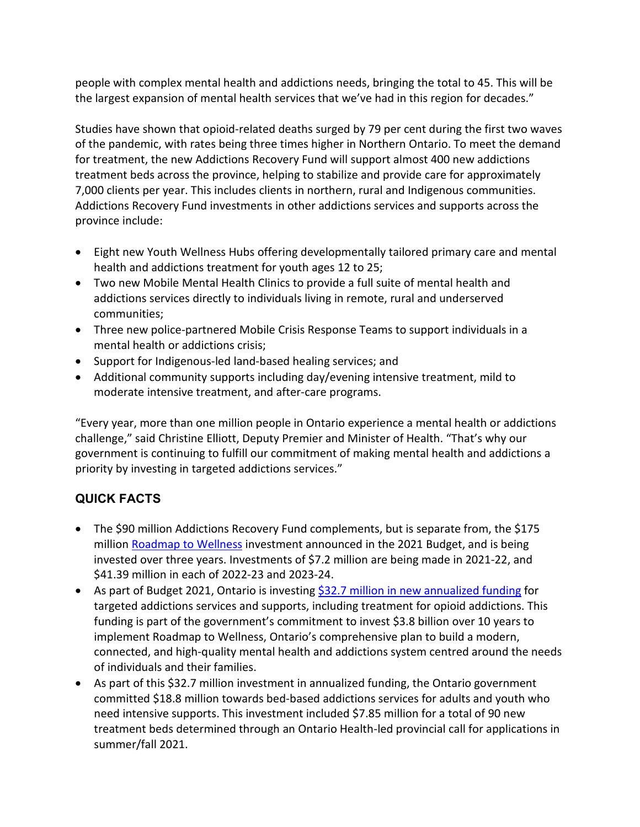people with complex mental health and addictions needs, bringing the total to 45. This will be the largest expansion of mental health services that we've had in this region for decades."

Studies have shown that opioid-related deaths surged by 79 per cent during the first two waves of the pandemic, with rates being three times higher in Northern Ontario. To meet the demand for treatment, the new Addictions Recovery Fund will support almost 400 new addictions treatment beds across the province, helping to stabilize and provide care for approximately 7,000 clients per year. This includes clients in northern, rural and Indigenous communities. Addictions Recovery Fund investments in other addictions services and supports across the province include:

- Eight new Youth Wellness Hubs offering developmentally tailored primary care and mental health and addictions treatment for youth ages 12 to 25;
- Two new Mobile Mental Health Clinics to provide a full suite of mental health and addictions services directly to individuals living in remote, rural and underserved communities;
- Three new police-partnered Mobile Crisis Response Teams to support individuals in a mental health or addictions crisis;
- Support for Indigenous-led land-based healing services; and
- Additional community supports including day/evening intensive treatment, mild to moderate intensive treatment, and after-care programs.

"Every year, more than one million people in Ontario experience a mental health or addictions challenge," said Christine Elliott, Deputy Premier and Minister of Health. "That's why our government is continuing to fulfill our commitment of making mental health and addictions a priority by investing in targeted addictions services."

## **QUICK FACTS**

- The \$90 million Addictions Recovery Fund complements, but is separate from, the \$175 million [Roadmap to Wellness](https://www.ontario.ca/page/roadmap-wellness-plan-build-ontarios-mental-health-and-addictions-system) investment announced in the 2021 Budget, and is being invested over three years. Investments of \$7.2 million are being made in 2021-22, and \$41.39 million in each of 2022-23 and 2023-24.
- As part of Budget 2021, Ontario is investing [\\$32.7 million in new annualized funding](https://news.ontario.ca/en/release/1000477/ontario-expanding-support-for-addictions-treatment-throughout-the-province) for targeted addictions services and supports, including treatment for opioid addictions. This funding is part of the government's commitment to invest \$3.8 billion over 10 years to implement Roadmap to Wellness, Ontario's comprehensive plan to build a modern, connected, and high-quality mental health and addictions system centred around the needs of individuals and their families.
- As part of this \$32.7 million investment in annualized funding, the Ontario government committed \$18.8 million towards bed-based addictions services for adults and youth who need intensive supports. This investment included \$7.85 million for a total of 90 new treatment beds determined through an Ontario Health-led provincial call for applications in summer/fall 2021.